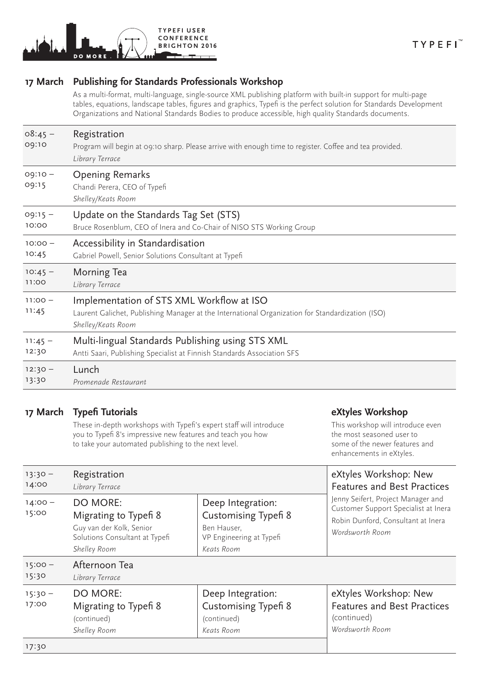

### **17 March Publishing for Standards Professionals Workshop**

As a multi-format, multi-language, single-source XML publishing platform with built-in support for multi-page tables, equations, landscape tables, figures and graphics, Typefi is the perfect solution for Standards Development Organizations and National Standards Bodies to produce accessible, high quality Standards documents.

| $08:45 -$<br>09:10 | Registration<br>Program will begin at 09:10 sharp. Please arrive with enough time to register. Coffee and tea provided.<br>Library Terrace                          |  |  |
|--------------------|---------------------------------------------------------------------------------------------------------------------------------------------------------------------|--|--|
| $09:10 -$<br>09:15 | <b>Opening Remarks</b><br>Chandi Perera, CEO of Typefi<br>Shelley/Keats Room                                                                                        |  |  |
| $09:15 -$          | Update on the Standards Tag Set (STS)                                                                                                                               |  |  |
| 10:00              | Bruce Rosenblum, CEO of Inera and Co-Chair of NISO STS Working Group                                                                                                |  |  |
| $10:00 -$          | Accessibility in Standardisation                                                                                                                                    |  |  |
| 10:45              | Gabriel Powell, Senior Solutions Consultant at Typefi                                                                                                               |  |  |
| $10:45 -$          | Morning Tea                                                                                                                                                         |  |  |
| 11:00              | Library Terrace                                                                                                                                                     |  |  |
| $11:00 -$<br>11:45 | Implementation of STS XML Workflow at ISO<br>Laurent Galichet, Publishing Manager at the International Organization for Standardization (ISO)<br>Shelley/Keats Room |  |  |
| $11:45 -$          | Multi-lingual Standards Publishing using STS XML                                                                                                                    |  |  |
| 12:30              | Antti Saari, Publishing Specialist at Finnish Standards Association SFS                                                                                             |  |  |
| $12:30 -$          | Lunch                                                                                                                                                               |  |  |
| 13:30              | Promenade Restaurant                                                                                                                                                |  |  |

#### **17 March Typefi Tutorials**

These in-depth workshops with Typefi's expert staff will introduce you to Typefi 8's impressive new features and teach you how to take your automated publishing to the next level.

#### **eXtyles Workshop**

This workshop will introduce even the most seasoned user to some of the newer features and enhancements in eXtyles.

| $13:30 -$<br>14:00 | Registration<br>Library Terrace                                                                                        |                                                                                                           | eXtyles Workshop: New<br><b>Features and Best Practices</b>                                                                         |
|--------------------|------------------------------------------------------------------------------------------------------------------------|-----------------------------------------------------------------------------------------------------------|-------------------------------------------------------------------------------------------------------------------------------------|
| $14:00 -$<br>15:00 | <b>DO MORE:</b><br>Migrating to Typefi 8<br>Guy van der Kolk, Senior<br>Solutions Consultant at Typefi<br>Shelley Room | Deep Integration:<br><b>Customising Typefi 8</b><br>Ben Hauser,<br>VP Engineering at Typefi<br>Keats Room | Jenny Seifert, Project Manager and<br>Customer Support Specialist at Inera<br>Robin Dunford, Consultant at Inera<br>Wordsworth Room |
| $15:00 -$<br>15:30 | Afternoon Tea<br>Library Terrace                                                                                       |                                                                                                           |                                                                                                                                     |
| $15:30 -$<br>17:00 | <b>DO MORE:</b><br>Migrating to Typefi 8<br>(continued)<br>Shelley Room                                                | Deep Integration:<br><b>Customising Typefi 8</b><br>(continued)<br>Keats Room                             | eXtyles Workshop: New<br><b>Features and Best Practices</b><br>(continued)<br>Wordsworth Room                                       |
|                    |                                                                                                                        |                                                                                                           |                                                                                                                                     |